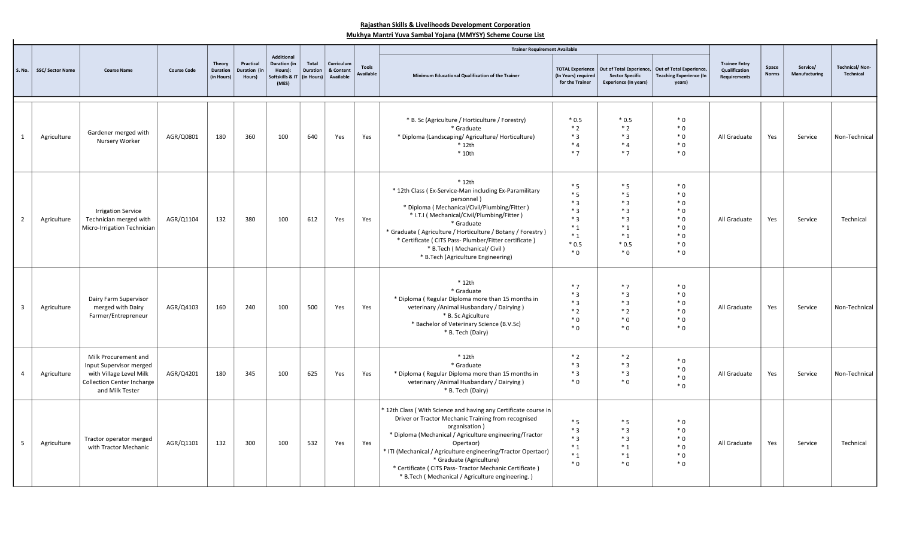## Rajasthan Skills & Livelihoods Development Corporation Mukhya Mantri Yuva Sambal Yojana (MMYSY) Scheme Course List

|                         |                         |                                                                                                                                    |                    |                                                |                                     |                                                                                 |                                        |                                      |                                  | <b>Trainer Requirement Available</b>                                                                                                                                                                                                                                                                                                                                                                                          |                                                                              |                                                                                    |                                                                      |                                                              |                       |                           |                                    |
|-------------------------|-------------------------|------------------------------------------------------------------------------------------------------------------------------------|--------------------|------------------------------------------------|-------------------------------------|---------------------------------------------------------------------------------|----------------------------------------|--------------------------------------|----------------------------------|-------------------------------------------------------------------------------------------------------------------------------------------------------------------------------------------------------------------------------------------------------------------------------------------------------------------------------------------------------------------------------------------------------------------------------|------------------------------------------------------------------------------|------------------------------------------------------------------------------------|----------------------------------------------------------------------|--------------------------------------------------------------|-----------------------|---------------------------|------------------------------------|
| <b>S. No.</b>           | <b>SSC/ Sector Name</b> | <b>Course Name</b>                                                                                                                 | <b>Course Code</b> | <b>Theory</b><br><b>Duration</b><br>(in Hours) | Practical<br>Duration (in<br>Hours) | <b>Additional</b><br><b>Duration</b> (in<br>Hours):<br>Softskills & IT<br>(MES) | Total<br><b>Duration</b><br>(in Hours) | Curriculum<br>& Content<br>Available | <b>Tools</b><br><b>Available</b> | Minimum Educational Qualification of the Trainer                                                                                                                                                                                                                                                                                                                                                                              | <b>TOTAL Experience</b><br>(In Years) required<br>for the Trainer            | Out of Total Experience,<br><b>Sector Specific</b><br><b>Experience (In years)</b> | Out of Total Experience,<br><b>Teaching Experience (In</b><br>years) | <b>Trainee Entry</b><br>Qualification<br><b>Requirements</b> | Space<br><b>Norms</b> | Service/<br>Manufacturing | <b>Technical/Non-</b><br>Technical |
| -1                      | Agriculture             | Gardener merged with<br>Nursery Worker                                                                                             | AGR/Q0801          | 180                                            | 360                                 | 100                                                                             | 640                                    | Yes                                  | Yes                              | * B. Sc (Agriculture / Horticulture / Forestry)<br>* Graduate<br>* Diploma (Landscaping/ Agriculture/ Horticulture)<br>$*$ 12th<br>* 10th                                                                                                                                                                                                                                                                                     | $*0.5$<br>$*2$<br>$*3$<br>$*4$<br>$*7$                                       | $*0.5$<br>$*2$<br>$*3$<br>$*4$<br>$*7$                                             | $*0$<br>$*0$<br>$*0$<br>$*0$<br>$*0$                                 | All Graduate                                                 | Yes                   | Service                   | Non-Technical                      |
| $\overline{2}$          | Agriculture             | <b>Irrigation Service</b><br>Technician merged with<br>Micro-Irrigation Technician                                                 | AGR/Q1104          | 132                                            | 380                                 | 100                                                                             | 612                                    | Yes                                  | Yes                              | $*12th$<br>* 12th Class (Ex-Service-Man including Ex-Paramilitary<br>personnel)<br>* Diploma ( Mechanical/Civil/Plumbing/Fitter )<br>* I.T.I (Mechanical/Civil/Plumbing/Fitter)<br>* Graduate<br>* Graduate (Agriculture / Horticulture / Botany / Forestry)<br>* Certificate ( CITS Pass- Plumber/Fitter certificate )<br>* B.Tech (Mechanical/Civil)<br>* B.Tech (Agriculture Engineering)                                  | $*5$<br>$*5$<br>$*3$<br>$*3$<br>$*3$<br>$*_{1}$<br>$*_{1}$<br>$*0.5$<br>$*0$ | $*5$<br>$*5$<br>$*3$<br>$*3$<br>$*3$<br>$*_{1}$<br>$*_{1}$<br>$*0.5$<br>$*0$       | $*0$<br>$*0$<br>$*0$<br>$*0$<br>$*0$<br>$*0$<br>$*0$<br>$*0$<br>$*0$ | All Graduate                                                 | Yes                   | Service                   | Technical                          |
| $\overline{\mathbf{3}}$ | Agriculture             | Dairy Farm Supervisor<br>merged with Dairy<br>Farmer/Entrepreneur                                                                  | AGR/Q4103          | 160                                            | 240                                 | 100                                                                             | 500                                    | Yes                                  | Yes                              | $*$ 12th<br>* Graduate<br>* Diploma (Regular Diploma more than 15 months in<br>veterinary / Animal Husbandary / Dairying)<br>* B. Sc Agiculture<br>* Bachelor of Veterinary Science (B.V.Sc)<br>* B. Tech (Dairy)                                                                                                                                                                                                             | $*7$<br>$*3$<br>$*3$<br>$*2$<br>$*0$<br>$*0$                                 | $*7$<br>$*3$<br>$*3$<br>$*2$<br>$*0$<br>$*0$                                       | $*0$<br>$*0$<br>$*0$<br>$*0$<br>$*0$<br>$*0$                         | All Graduate                                                 | Yes                   | Service                   | Non-Technical                      |
| $\overline{a}$          | Agriculture             | Milk Procurement and<br>Input Supervisor merged<br>with Village Level Milk<br><b>Collection Center Incharge</b><br>and Milk Tester | AGR/Q4201          | 180                                            | 345                                 | 100                                                                             | 625                                    | Yes                                  | Yes                              | $*$ 12th<br>* Graduate<br>* Diploma (Regular Diploma more than 15 months in<br>veterinary / Animal Husbandary / Dairying )<br>* B. Tech (Dairy)                                                                                                                                                                                                                                                                               | $*2$<br>$*3$<br>$*3$<br>$*0$                                                 | $*2$<br>$*3$<br>$*3$<br>$*0$                                                       | $*0$<br>$*0$<br>$*0$<br>$*0$                                         | All Graduate                                                 | Yes                   | Service                   | Non-Technical                      |
| - 5                     | Agriculture             | Tractor operator merged<br>with Tractor Mechanic                                                                                   | AGR/Q1101          | 132                                            | 300                                 | 100                                                                             | 532                                    | Yes                                  | Yes                              | * 12th Class (With Science and having any Certificate course in<br>Driver or Tractor Mechanic Training from recognised<br>organisation)<br>* Diploma (Mechanical / Agriculture engineering/Tractor<br>Opertaor)<br>* ITI (Mechanical / Agriculture engineering/Tractor Opertaor)<br>* Graduate (Agriculture)<br>* Certificate ( CITS Pass- Tractor Mechanic Certificate )<br>* B.Tech (Mechanical / Agriculture engineering.) | $*5$<br>$*3$<br>$*3$<br>$*_{1}$<br>$*_{1}$<br>$*0$                           | $*5$<br>$*3$<br>$*3$<br>$*_{1}$<br>$*_{1}$<br>$*0$                                 | $*0$<br>$*0$<br>$*0$<br>$*0$<br>$*0$<br>$*0$                         | All Graduate                                                 | Yes                   | Service                   | Technical                          |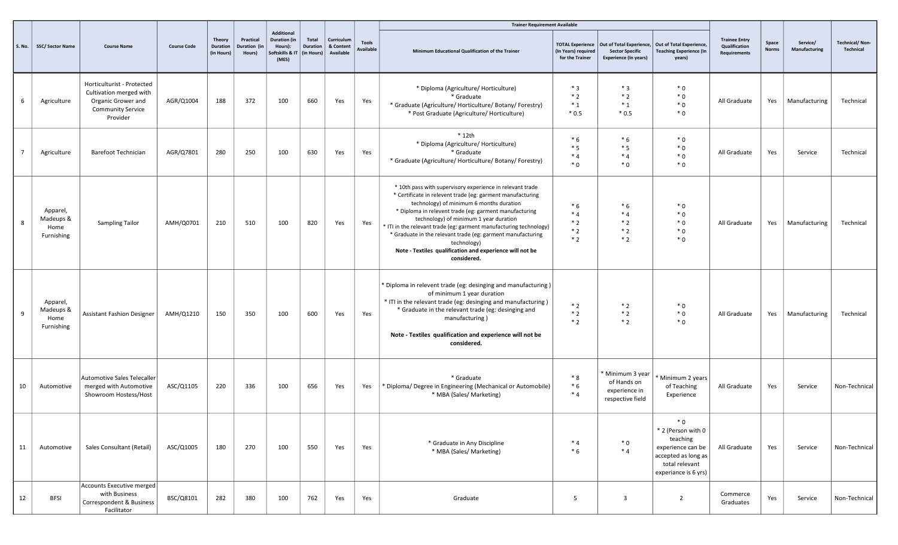|    |                                             |                                                                                                                     |                    |                                         |                                     |                                                                                 |                                        |                                      |                                  | <b>Trainer Requirement Available</b>                                                                                                                                                                                                                                                                                                                                                                                                                                                                   |                                         |                                                                                                                                  |                                                                                                                              |                                                              |                       |                           |                                    |
|----|---------------------------------------------|---------------------------------------------------------------------------------------------------------------------|--------------------|-----------------------------------------|-------------------------------------|---------------------------------------------------------------------------------|----------------------------------------|--------------------------------------|----------------------------------|--------------------------------------------------------------------------------------------------------------------------------------------------------------------------------------------------------------------------------------------------------------------------------------------------------------------------------------------------------------------------------------------------------------------------------------------------------------------------------------------------------|-----------------------------------------|----------------------------------------------------------------------------------------------------------------------------------|------------------------------------------------------------------------------------------------------------------------------|--------------------------------------------------------------|-----------------------|---------------------------|------------------------------------|
|    | S. No.   SSC/ Sector Name                   | <b>Course Name</b>                                                                                                  | <b>Course Code</b> | Theory<br><b>Duration</b><br>(in Hours) | Practical<br>Duration (in<br>Hours) | <b>Additional</b><br><b>Duration (in</b><br>Hours):<br>ioftskills & IT<br>(MES) | <b>Total</b><br>Duration<br>(in Hours) | Curriculum<br>& Content<br>Available | <b>Tools</b><br><b>Available</b> | Minimum Educational Qualification of the Trainer                                                                                                                                                                                                                                                                                                                                                                                                                                                       | (In Years) required<br>for the Trainer  | TOTAL Experience   Out of Total Experience,   Out of Total Experience,<br><b>Sector Specific</b><br><b>Experience (In years)</b> | <b>Teaching Experience (In</b><br>years)                                                                                     | <b>Trainee Entry</b><br>Qualification<br><b>Requirements</b> | Space<br><b>Norms</b> | Service/<br>Manufacturing | <b>Technical/Non-</b><br>Technical |
| 6  | Agriculture                                 | Horticulturist - Protected<br>Cultivation merged with<br>Organic Grower and<br><b>Community Service</b><br>Provider | AGR/Q1004          | 188                                     | 372                                 | 100                                                                             | 660                                    | Yes                                  | Yes                              | * Diploma (Agriculture/ Horticulture)<br>* Graduate<br>* Graduate (Agriculture/ Horticulture/ Botany/ Forestry)<br>* Post Graduate (Agriculture/ Horticulture)                                                                                                                                                                                                                                                                                                                                         | $*3$<br>$*2$<br>$*_{1}$<br>$*0.5$       | $*3$<br>$*2$<br>$*_{1}$<br>$*0.5$                                                                                                | $*0$<br>$*0$<br>$*0$<br>$*0$                                                                                                 | All Graduate                                                 | Yes                   | Manufacturing             | Technical                          |
| 7  | Agriculture                                 | <b>Barefoot Technician</b>                                                                                          | AGR/Q7801          | 280                                     | 250                                 | 100                                                                             | 630                                    | Yes                                  | Yes                              | $*$ 12th<br>* Diploma (Agriculture/ Horticulture)<br>* Graduate<br>* Graduate (Agriculture/ Horticulture/ Botany/ Forestry)                                                                                                                                                                                                                                                                                                                                                                            | $*6$<br>$*5$<br>$*4$<br>$*0$            | $*6$<br>$*5$<br>$*4$<br>$*0$                                                                                                     | $*0$<br>$*0$<br>$*0$<br>$*0$                                                                                                 | All Graduate                                                 | Yes                   | Service                   | Technical                          |
| 8  | Apparel,<br>Madeups &<br>Home<br>Furnishing | <b>Sampling Tailor</b>                                                                                              | AMH/Q0701          | 210                                     | 510                                 | 100                                                                             | 820                                    | Yes                                  | Yes                              | * 10th pass with supervisory experience in relevant trade<br>* Certificate in relevent trade (eg: garment manufacturing<br>technology) of minimum 6 months duration<br>* Diploma in relevent trade (eg: garment manufacturing<br>technology) of minimum 1 year duration<br>* ITI in the relevant trade (eg: garment manufacturing technology)<br>* Graduate in the relevant trade (eg: garment manufacturing<br>technology)<br>Note - Textiles qualification and experience will not be<br>considered. | $*6$<br>$*_{4}$<br>$*2$<br>$*2$<br>$*2$ | $*6$<br>$*4$<br>$*2$<br>$*2$<br>$*2$                                                                                             | $*0$<br>$*0$<br>$*0$<br>$*0$<br>$*0$                                                                                         | All Graduate                                                 | Yes                   | Manufacturing             | Technical                          |
| 9  | Apparel,<br>Madeups &<br>Home<br>Furnishing | Assistant Fashion Designer                                                                                          | AMH/Q1210          | 150                                     | 350                                 | 100                                                                             | 600                                    | Yes                                  | Yes                              | * Diploma in relevent trade (eg: desinging and manufacturing)<br>of minimum 1 year duration<br>* ITI in the relevant trade (eg: desinging and manufacturing)<br>* Graduate in the relevant trade (eg: desinging and<br>manufacturing)<br>Note - Textiles qualification and experience will not be<br>considered.                                                                                                                                                                                       | $*2$<br>$*2$<br>$*2$                    | $*2$<br>$*2$<br>$*2$                                                                                                             | $*0$<br>$*0$<br>$*0$                                                                                                         | All Graduate                                                 | Yes                   | Manufacturing             | Technical                          |
| 10 | Automotive                                  | Automotive Sales Telecaller<br>merged with Automotive<br>Showroom Hostess/Host                                      | ASC/Q1105          | 220                                     | 336                                 | 100                                                                             | 656                                    | Yes                                  | Yes                              | * Graduate<br>* Diploma/ Degree in Engineering (Mechanical or Automobile)<br>* MBA (Sales/ Marketing)                                                                                                                                                                                                                                                                                                                                                                                                  | $*8$<br>$*6$<br>$*4$                    | * Minimum 3 year<br>of Hands on<br>experience in<br>respective field                                                             | Minimum 2 years<br>of Teaching<br>Experience                                                                                 | All Graduate                                                 | Yes                   | Service                   | Non-Technical                      |
| 11 | Automotive                                  | Sales Consultant (Retail)                                                                                           | ASC/Q1005          | 180                                     | 270                                 | 100                                                                             | 550                                    | Yes                                  | Yes                              | * Graduate in Any Discipline<br>* MBA (Sales/ Marketing)                                                                                                                                                                                                                                                                                                                                                                                                                                               | $*4$<br>$*6$                            | $*0$<br>$*4$                                                                                                                     | $*0$<br>* 2 (Person with 0<br>teaching<br>experience can be<br>accepted as long as<br>total relevant<br>experiance is 6 yrs) | All Graduate                                                 | Yes                   | Service                   | Non-Technical                      |
| 12 | <b>BFSI</b>                                 | Accounts Executive merged<br>with Business<br>Correspondent & Business<br>Facilitator                               | BSC/Q8101          | 282                                     | 380                                 | 100                                                                             | 762                                    | Yes                                  | Yes                              | Graduate                                                                                                                                                                                                                                                                                                                                                                                                                                                                                               | 5                                       | $\overline{3}$                                                                                                                   | $\overline{2}$                                                                                                               | Commerce<br>Graduates                                        | Yes                   | Service                   | Non-Technical                      |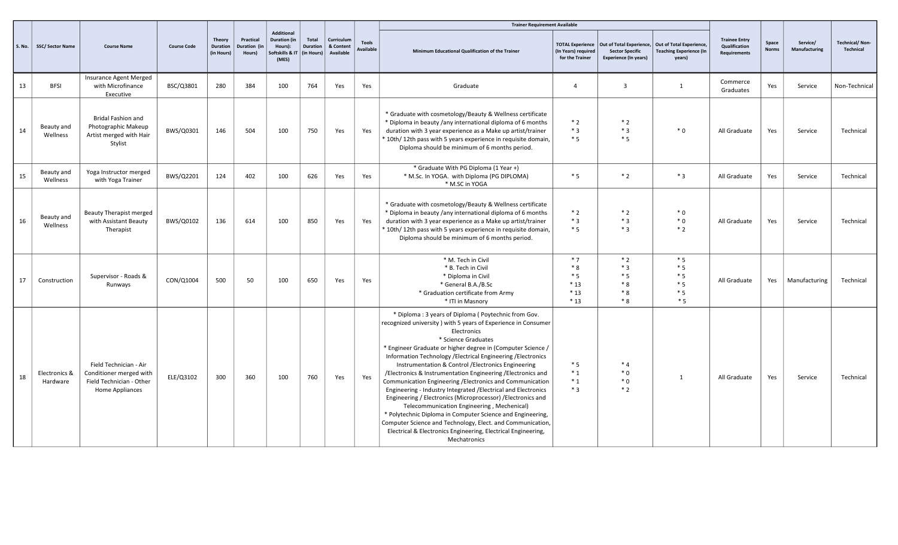|               |                           |                                                                                                  |                    |                                         | Practical<br>Duration (in<br>Hours) | Additional                                               |                                 |                                      |                                  | <b>Trainer Requirement Available</b>                                                                                                                                                                                                                                                                                                                                                                                                                                                                                                                                                                                                                                                                                                                                                                                                                                       |                                                                   |                                                        |                                                                                               |                                                              |                       |                           |                                           |
|---------------|---------------------------|--------------------------------------------------------------------------------------------------|--------------------|-----------------------------------------|-------------------------------------|----------------------------------------------------------|---------------------------------|--------------------------------------|----------------------------------|----------------------------------------------------------------------------------------------------------------------------------------------------------------------------------------------------------------------------------------------------------------------------------------------------------------------------------------------------------------------------------------------------------------------------------------------------------------------------------------------------------------------------------------------------------------------------------------------------------------------------------------------------------------------------------------------------------------------------------------------------------------------------------------------------------------------------------------------------------------------------|-------------------------------------------------------------------|--------------------------------------------------------|-----------------------------------------------------------------------------------------------|--------------------------------------------------------------|-----------------------|---------------------------|-------------------------------------------|
| <b>S. No.</b> | <b>SSC/ Sector Name</b>   | <b>Course Name</b>                                                                               | <b>Course Code</b> | Theory<br><b>Duration</b><br>(in Hours) |                                     | <b>Duration (in</b><br>Hours):<br>oftskills & I<br>(MES) | Total<br>Duration<br>(in Hours) | Curriculum<br>& Content<br>Available | <b>Tools</b><br><b>Available</b> | Minimum Educational Qualification of the Trainer                                                                                                                                                                                                                                                                                                                                                                                                                                                                                                                                                                                                                                                                                                                                                                                                                           | <b>TOTAL Experience</b><br>(In Years) required<br>for the Trainer | <b>Sector Specific</b><br><b>Experience (In years)</b> | Out of Total Experience, Out of Total Experience,<br><b>Teaching Experience (In</b><br>years) | <b>Trainee Entry</b><br>Qualification<br><b>Requirements</b> | Space<br><b>Norms</b> | Service/<br>Manufacturing | <b>Technical/Non-</b><br><b>Technical</b> |
| 13            | <b>BFSI</b>               | Insurance Agent Merged<br>with Microfinance<br>Executive                                         | BSC/Q3801          | 280                                     | 384                                 | 100                                                      | 764                             | Yes                                  | Yes                              | Graduate                                                                                                                                                                                                                                                                                                                                                                                                                                                                                                                                                                                                                                                                                                                                                                                                                                                                   | $\overline{a}$                                                    | $\overline{\mathbf{3}}$                                | $\overline{1}$                                                                                | Commerce<br>Graduates                                        | Yes                   | Service                   | Non-Technical                             |
| 14            | Beauty and<br>Wellness    | <b>Bridal Fashion and</b><br>Photographic Makeup<br>Artist merged with Hair<br>Stylist           | BWS/Q0301          | 146                                     | 504                                 | 100                                                      | 750                             | Yes                                  | Yes                              | * Graduate with cosmetology/Beauty & Wellness certificate<br>* Diploma in beauty /any international diploma of 6 months<br>duration with 3 year experience as a Make up artist/trainer<br>* 10th/ 12th pass with 5 years experience in requisite domain,<br>Diploma should be minimum of 6 months period.                                                                                                                                                                                                                                                                                                                                                                                                                                                                                                                                                                  | $*2$<br>$*3$<br>$*5$                                              | $*2$<br>$*3$<br>$*5$                                   | $*0$                                                                                          | All Graduate                                                 | Yes                   | Service                   | Technical                                 |
| 15            | Beauty and<br>Wellness    | Yoga Instructor merged<br>with Yoga Trainer                                                      | BWS/Q2201          | 124                                     | 402                                 | 100                                                      | 626                             | Yes                                  | Yes                              | * Graduate With PG Diploma (1 Year +)<br>* M.Sc. In YOGA. with Diploma (PG DIPLOMA)<br>* M.SC in YOGA                                                                                                                                                                                                                                                                                                                                                                                                                                                                                                                                                                                                                                                                                                                                                                      | $*5$                                                              | $*2$                                                   | $*3$                                                                                          | All Graduate                                                 | Yes                   | Service                   | Technical                                 |
| 16            | Beauty and<br>Wellness    | <b>Beauty Therapist merged</b><br>with Assistant Beauty<br>Therapist                             | BWS/Q0102          | 136                                     | 614                                 | 100                                                      | 850                             | Yes                                  | Yes                              | * Graduate with cosmetology/Beauty & Wellness certificate<br>* Diploma in beauty /any international diploma of 6 months<br>duration with 3 year experience as a Make up artist/trainer<br>* 10th/ 12th pass with 5 years experience in requisite domain,<br>Diploma should be minimum of 6 months period.                                                                                                                                                                                                                                                                                                                                                                                                                                                                                                                                                                  | $*2$<br>$*3$<br>$*5$                                              | $*2$<br>$*3$<br>$*3$                                   | $*0$<br>$*0$<br>$*2$                                                                          | All Graduate                                                 | Yes                   | Service                   | Technical                                 |
| 17            | Construction              | Supervisor - Roads &<br>Runways                                                                  | CON/Q1004          | 500                                     | 50                                  | 100                                                      | 650                             | Yes                                  | Yes                              | * M. Tech in Civil<br>* B. Tech in Civil<br>* Diploma in Civil<br>* General B.A./B.Sc<br>* Graduation certificate from Army<br>* ITI in Masnory                                                                                                                                                                                                                                                                                                                                                                                                                                                                                                                                                                                                                                                                                                                            | $*7$<br>$*8$<br>$*5$<br>$*13$<br>$*13$<br>$*13$                   | $*2$<br>$*3$<br>$*5$<br>$*8$<br>$*8$<br>$*8$           | $*5$<br>$*5$<br>$*5$<br>$*5$<br>$*5$<br>$*5$                                                  | All Graduate                                                 | Yes                   | Manufacturing             | Technical                                 |
| 18            | Electronics &<br>Hardware | Field Technician - Air<br>Conditioner merged with<br>Field Technician - Other<br>Home Appliances | ELE/Q3102          | 300                                     | 360                                 | 100                                                      | 760                             | Yes                                  | Yes                              | * Diploma: 3 years of Diploma (Poytechnic from Gov.<br>recognized university ) with 5 years of Experience in Consumer<br>Electronics<br>* Science Graduates<br>* Engineer Graduate or higher degree in (Computer Science /<br>Information Technology / Electrical Engineering / Electronics<br>Instrumentation & Control / Electronics Engineering<br>/Electronics & Instrumentation Engineering /Electronics and<br>Communication Engineering /Electronics and Communication<br>Engineering - Industry Integrated / Electrical and Electronics<br>Engineering / Electronics (Microprocessor) / Electronics and<br>Telecommunication Engineering, Mechenical)<br>* Polytechnic Diploma in Computer Science and Engineering,<br>Computer Science and Technology, Elect. and Communication,<br>Electrical & Electronics Engineering, Electrical Engineering,<br>Mechatronics | $*5$<br>$*_{1}$<br>$*_{1}$<br>$*3$                                | $*4$<br>$*0$<br>$*0$<br>$*2$                           | $\mathbf{1}$                                                                                  | All Graduate                                                 | Yes                   | Service                   | Technical                                 |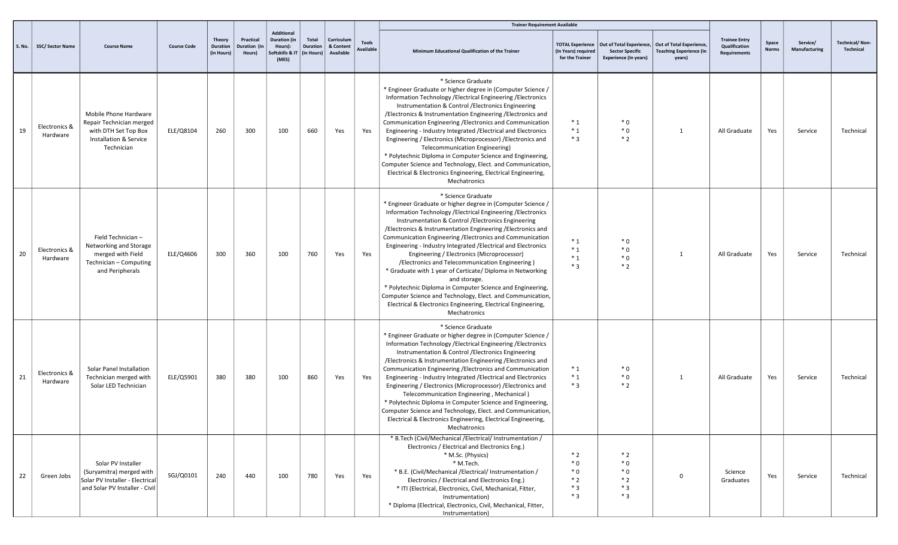|               |                           |                                                                                                                     |                    |                                         |                                     | <b>Additional</b>                                         |                                        |                                      |                                  | <b>Trainer Requirement Available</b>                                                                                                                                                                                                                                                                                                                                                                                                                                                                                                                                                                                                                                                                                                                                                                 |                                                                   |                                                                                                             |                                          |                                                       |                       |                           |                                           |
|---------------|---------------------------|---------------------------------------------------------------------------------------------------------------------|--------------------|-----------------------------------------|-------------------------------------|-----------------------------------------------------------|----------------------------------------|--------------------------------------|----------------------------------|------------------------------------------------------------------------------------------------------------------------------------------------------------------------------------------------------------------------------------------------------------------------------------------------------------------------------------------------------------------------------------------------------------------------------------------------------------------------------------------------------------------------------------------------------------------------------------------------------------------------------------------------------------------------------------------------------------------------------------------------------------------------------------------------------|-------------------------------------------------------------------|-------------------------------------------------------------------------------------------------------------|------------------------------------------|-------------------------------------------------------|-----------------------|---------------------------|-------------------------------------------|
| <b>S. No.</b> | <b>SSC/ Sector Name</b>   | <b>Course Name</b>                                                                                                  | <b>Course Code</b> | <b>Theory</b><br>Duration<br>(in Hours) | Practical<br>Duration (in<br>Hours) | <b>Duration</b> (in<br>Hours):<br>ioftskills & I<br>(MES) | Total<br><b>Duration</b><br>(in Hours) | Curriculum<br>& Content<br>Available | <b>Tools</b><br><b>Available</b> | Minimum Educational Qualification of the Trainer                                                                                                                                                                                                                                                                                                                                                                                                                                                                                                                                                                                                                                                                                                                                                     | <b>TOTAL Experience</b><br>(In Years) required<br>for the Trainer | Out of Total Experience, Out of Total Experience,<br><b>Sector Specific</b><br><b>Experience (In years)</b> | <b>Teaching Experience (In</b><br>years) | <b>Trainee Entry</b><br>Qualification<br>Requirements | Space<br><b>Norms</b> | Service/<br>Manufacturing | <b>Technical/Non-</b><br><b>Technical</b> |
| 19            | Electronics &<br>Hardware | Mobile Phone Hardware<br>Repair Technician merged<br>with DTH Set Top Box<br>Installation & Service<br>Technician   | ELE/Q8104          | 260                                     | 300                                 | 100                                                       | 660                                    | Yes                                  | Yes                              | * Science Graduate<br>* Engineer Graduate or higher degree in (Computer Science /<br>Information Technology / Electrical Engineering / Electronics<br>Instrumentation & Control / Electronics Engineering<br>/Electronics & Instrumentation Engineering / Electronics and<br>Communication Engineering / Electronics and Communication<br>Engineering - Industry Integrated / Electrical and Electronics<br>Engineering / Electronics (Microprocessor) / Electronics and<br>Telecommunication Engineering)<br>* Polytechnic Diploma in Computer Science and Engineering,<br>Computer Science and Technology, Elect. and Communication,<br>Electrical & Electronics Engineering, Electrical Engineering,<br>Mechatronics                                                                              | $*_{1}$<br>$*_{1}$<br>$*3$                                        | $*0$<br>$*0$<br>$*2$                                                                                        | $\mathbf{1}$                             | All Graduate                                          | Yes                   | Service                   | Technical                                 |
| 20            | Electronics &<br>Hardware | Field Technician-<br>Networking and Storage<br>merged with Field<br>Technician - Computing<br>and Peripherals       | ELE/Q4606          | 300                                     | 360                                 | 100                                                       | 760                                    | Yes                                  | Yes                              | * Science Graduate<br>* Engineer Graduate or higher degree in (Computer Science /<br>Information Technology / Electrical Engineering / Electronics<br>Instrumentation & Control / Electronics Engineering<br>/Electronics & Instrumentation Engineering / Electronics and<br>Communication Engineering / Electronics and Communication<br>Engineering - Industry Integrated / Electrical and Electronics<br>Engineering / Electronics (Microprocessor)<br>/Electronics and Telecommunication Engineering)<br>* Graduate with 1 year of Certicate/ Diploma in Networking<br>and storage.<br>* Polytechnic Diploma in Computer Science and Engineering,<br>Computer Science and Technology, Elect. and Communication,<br>Electrical & Electronics Engineering, Electrical Engineering,<br>Mechatronics | $*_{1}$<br>$*_{1}$<br>$*_{1}$<br>$*3$                             | $*0$<br>$*0$<br>$*0$<br>$*2$                                                                                | -1                                       | All Graduate                                          | Yes                   | Service                   | Technical                                 |
| 21            | Electronics &<br>Hardware | Solar Panel Installation<br>Technician merged with<br>Solar LED Technician                                          | ELE/Q5901          | 380                                     | 380                                 | 100                                                       | 860                                    | Yes                                  | Yes                              | * Science Graduate<br>* Engineer Graduate or higher degree in (Computer Science /<br>Information Technology / Electrical Engineering / Electronics<br>Instrumentation & Control / Electronics Engineering<br>/Electronics & Instrumentation Engineering / Electronics and<br>Communication Engineering / Electronics and Communication<br>Engineering - Industry Integrated / Electrical and Electronics<br>Engineering / Electronics (Microprocessor) / Electronics and<br>Telecommunication Engineering, Mechanical)<br>* Polytechnic Diploma in Computer Science and Engineering,<br>Computer Science and Technology, Elect. and Communication,<br>Electrical & Electronics Engineering, Electrical Engineering,<br>Mechatronics                                                                  | $*_{1}$<br>$*_{1}$<br>$*3$                                        | $*0$<br>$*0$<br>$*2$                                                                                        | 1                                        | All Graduate                                          | Yes                   | Service                   | Technical                                 |
| 22            | Green Jobs                | Solar PV Installer<br>(Suryamitra) merged with<br>Solar PV Installer - Electrical<br>and Solar PV Installer - Civil | SGJ/Q0101          | 240                                     | 440                                 | 100                                                       | 780                                    | Yes                                  | Yes                              | * B.Tech (Civil/Mechanical /Electrical/ Instrumentation /<br>Electronics / Electrical and Electronics Eng.)<br>* M.Sc. (Physics)<br>* M.Tech.<br>* B.E. (Civil/Mechanical /Electrical/ Instrumentation /<br>Electronics / Electrical and Electronics Eng.)<br>* ITI (Electrical, Electronics, Civil, Mechanical, Fitter,<br>Instrumentation)<br>* Diploma (Electrical, Electronics, Civil, Mechanical, Fitter,<br>Instrumentation)                                                                                                                                                                                                                                                                                                                                                                   | $*2$<br>$*0$<br>$*0$<br>$*2$<br>$*3$<br>$*3$                      | $*2$<br>$*0$<br>$*0$<br>$*2$<br>$*3$<br>$*3$                                                                | $^{\circ}$                               | Science<br>Graduates                                  | Yes                   | Service                   | Technical                                 |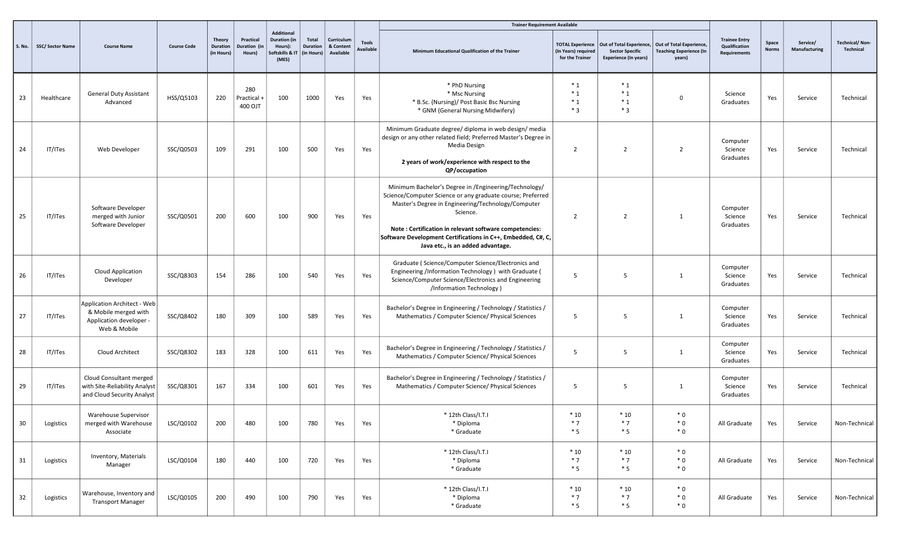|    |                           |                                                                                                       |                    |                                         |                                 |                                                                  |                                        |                                      |                                  | <b>Trainer Requirement Available</b>                                                                                                                                                                                                                                                                                                                 |                                                                   |                                                                                    |                                                                      |                                                              |                       |                           |                             |
|----|---------------------------|-------------------------------------------------------------------------------------------------------|--------------------|-----------------------------------------|---------------------------------|------------------------------------------------------------------|----------------------------------------|--------------------------------------|----------------------------------|------------------------------------------------------------------------------------------------------------------------------------------------------------------------------------------------------------------------------------------------------------------------------------------------------------------------------------------------------|-------------------------------------------------------------------|------------------------------------------------------------------------------------|----------------------------------------------------------------------|--------------------------------------------------------------|-----------------------|---------------------------|-----------------------------|
|    | S. No.   SSC/ Sector Name | <b>Course Name</b>                                                                                    | <b>Course Code</b> | Theory<br><b>Duration</b><br>(in Hours) | Practical<br>Duration<br>Hours) | Additional<br>Duration (in<br>Hours):<br>oftskills & I1<br>(MES) | Total<br><b>Duration</b><br>(in Hours) | Curriculum<br>& Content<br>Available | <b>Tools</b><br><b>Available</b> | Minimum Educational Qualification of the Trainer                                                                                                                                                                                                                                                                                                     | <b>TOTAL Experience</b><br>(In Years) required<br>for the Trainer | Out of Total Experience,<br><b>Sector Specific</b><br><b>Experience (In years)</b> | Out of Total Experience,<br><b>Teaching Experience (In</b><br>years) | <b>Trainee Entry</b><br>Qualification<br><b>Requirements</b> | Space<br><b>Norms</b> | Service/<br>Manufacturing | Technical/Non-<br>Technical |
| 23 | Healthcare                | <b>General Duty Assistant</b><br>Advanced                                                             | HSS/Q5103          | 220                                     | 280<br>Practical<br>400 OJT     | 100                                                              | 1000                                   | Yes                                  | Yes                              | * PhD Nursing<br>* Msc Nursing<br>* B.Sc. (Nursing)/ Post Basic Bsc Nursing<br>* GNM (General Nursing Midwifery)                                                                                                                                                                                                                                     | $*_{1}$<br>$*_{1}$<br>$*_{1}$<br>$*3$                             | $*_{1}$<br>$*_{1}$<br>$*_{1}$<br>$*3$                                              | $\mathbf{0}$                                                         | Science<br>Graduates                                         | Yes                   | Service                   | Technical                   |
| 24 | IT/ITes                   | Web Developer                                                                                         | SSC/Q0503          | 109                                     | 291                             | 100                                                              | 500                                    | Yes                                  | Yes                              | Minimum Graduate degree/ diploma in web design/ media<br>design or any other related field; Preferred Master's Degree in<br>Media Design<br>2 years of work/experience with respect to the<br>QP/occupation                                                                                                                                          | $\overline{2}$                                                    | $\overline{2}$                                                                     | $\overline{2}$                                                       | Computer<br>Science<br>Graduates                             | Yes                   | Service                   | Technical                   |
| 25 | IT/ITes                   | Software Developer<br>merged with Junior<br>Software Developer                                        | SSC/Q0501          | 200                                     | 600                             | 100                                                              | 900                                    | Yes                                  | Yes                              | Minimum Bachelor's Degree in /Engineering/Technology/<br>Science/Computer Science or any graduate course; Preferred<br>Master's Degree in Engineering/Technology/Computer<br>Science.<br>Note: Certification in relevant software competencies:<br>Software Development Certifications in C++, Embedded, C#, C,<br>Java etc., is an added advantage. | 2                                                                 | $\overline{2}$                                                                     | -1                                                                   | Computer<br>Science<br>Graduates                             | Yes                   | Service                   | Technical                   |
| 26 | IT/ITes                   | Cloud Application<br>Developer                                                                        | SSC/Q8303          | 154                                     | 286                             | 100                                                              | 540                                    | Yes                                  | Yes                              | Graduate (Science/Computer Science/Electronics and<br>Engineering /Information Technology ) with Graduate (<br>Science/Computer Science/Electronics and Engineering<br>/Information Technology)                                                                                                                                                      | 5                                                                 | 5                                                                                  | 1                                                                    | Computer<br>Science<br>Graduates                             | Yes                   | Service                   | Technical                   |
| 27 | IT/ITes                   | <b>Application Architect - Web</b><br>& Mobile merged with<br>Application developer -<br>Web & Mobile | SSC/Q8402          | 180                                     | 309                             | 100                                                              | 589                                    | Yes                                  | Yes                              | Bachelor's Degree in Engineering / Technology / Statistics /<br>Mathematics / Computer Science/ Physical Sciences                                                                                                                                                                                                                                    | 5                                                                 | 5                                                                                  | 1                                                                    | Computer<br>Science<br>Graduates                             | Yes                   | Service                   | Technical                   |
| 28 | IT/ITes                   | Cloud Architect                                                                                       | SSC/Q8302          | 183                                     | 328                             | 100                                                              | 611                                    | Yes                                  | Yes                              | Bachelor's Degree in Engineering / Technology / Statistics /<br>Mathematics / Computer Science/ Physical Sciences                                                                                                                                                                                                                                    | 5                                                                 | 5                                                                                  | $\overline{1}$                                                       | Computer<br>Science<br>Graduates                             | Yes                   | Service                   | Technical                   |
| 29 | IT/ITes                   | Cloud Consultant merged<br>with Site-Reliability Analyst<br>and Cloud Security Analyst                | SSC/Q8301          | 167                                     | 334                             | 100                                                              | 601                                    | Yes                                  | Yes                              | Bachelor's Degree in Engineering / Technology / Statistics /<br>Mathematics / Computer Science/ Physical Sciences                                                                                                                                                                                                                                    | 5                                                                 | 5                                                                                  | 1                                                                    | Computer<br>Science<br>Graduates                             | Yes                   | Service                   | Technical                   |
| 30 | Logistics                 | <b>Warehouse Supervisor</b><br>merged with Warehouse<br>Associate                                     | LSC/Q0102          | 200                                     | 480                             | 100                                                              | 780                                    | Yes                                  | Yes                              | * 12th Class/I.T.I<br>* Diploma<br>* Graduate                                                                                                                                                                                                                                                                                                        | $*10$<br>$*7$<br>$*5$                                             | $*10$<br>$*7$<br>$*5$                                                              | $*0$<br>$*0$<br>$*0$                                                 | All Graduate                                                 | Yes                   | Service                   | Non-Technical               |
| 31 | Logistics                 | Inventory, Materials<br>Manager                                                                       | LSC/Q0104          | 180                                     | 440                             | 100                                                              | 720                                    | Yes                                  | Yes                              | * 12th Class/I.T.I<br>* Diploma<br>* Graduate                                                                                                                                                                                                                                                                                                        | $*10$<br>$*7$<br>$*5$                                             | $*10$<br>$*7$<br>$*5$                                                              | $*0$<br>$*0$<br>$*0$                                                 | All Graduate                                                 | Yes                   | Service                   | Non-Technical               |
| 32 | Logistics                 | Warehouse, Inventory and<br><b>Transport Manager</b>                                                  | LSC/Q0105          | 200                                     | 490                             | 100                                                              | 790                                    | Yes                                  | Yes                              | * 12th Class/I.T.I<br>* Diploma<br>* Graduate                                                                                                                                                                                                                                                                                                        | $*10$<br>$*7$<br>$*5$                                             | $*10$<br>$*7$<br>$*5$                                                              | $*0$<br>$*0$<br>$*0$                                                 | All Graduate                                                 | Yes                   | Service                   | Non-Technical               |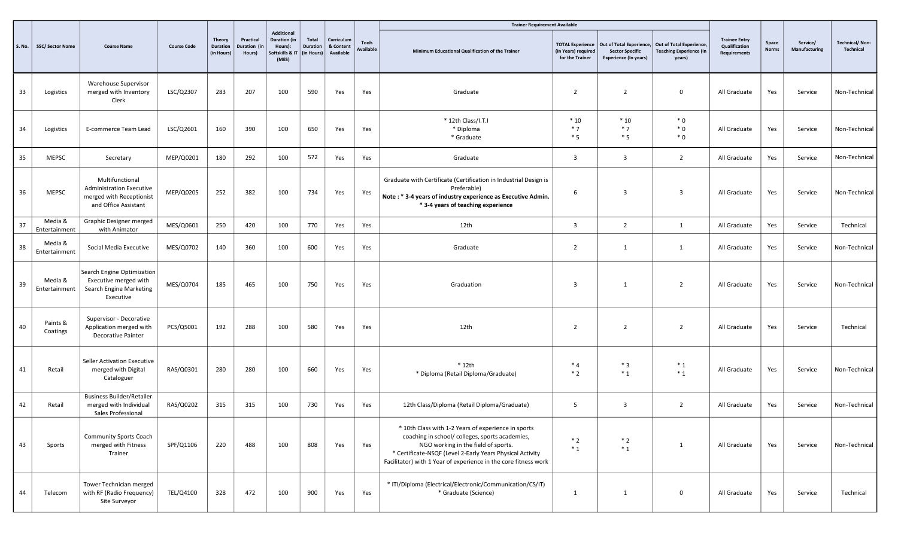|               |                          |                                                                                                        |                    |                                         |                                     |                                                                         |                                               |                                      |                                  | <b>Trainer Requirement Available</b>                                                                                                                                                                                                                                          |                                                                   |                                                                                                             |                                          |                                                       |                       |                           |                                    |
|---------------|--------------------------|--------------------------------------------------------------------------------------------------------|--------------------|-----------------------------------------|-------------------------------------|-------------------------------------------------------------------------|-----------------------------------------------|--------------------------------------|----------------------------------|-------------------------------------------------------------------------------------------------------------------------------------------------------------------------------------------------------------------------------------------------------------------------------|-------------------------------------------------------------------|-------------------------------------------------------------------------------------------------------------|------------------------------------------|-------------------------------------------------------|-----------------------|---------------------------|------------------------------------|
| <b>S. No.</b> | <b>SSC/ Sector Name</b>  | <b>Course Name</b>                                                                                     | <b>Course Code</b> | Theory<br><b>Duration</b><br>(in Hours) | Practical<br>Duration (ir<br>Hours) | Additional<br><b>Duration (in</b><br>Hours):<br>oftskills & IT<br>(MES) | <b>Total</b><br><b>Duration</b><br>(in Hours) | Curriculum<br>& Content<br>Available | <b>Tools</b><br><b>Available</b> | Minimum Educational Qualification of the Trainer                                                                                                                                                                                                                              | <b>TOTAL Experience</b><br>(In Years) required<br>for the Trainer | Out of Total Experience, Out of Total Experience,<br><b>Sector Specific</b><br><b>Experience (In years)</b> | <b>Teaching Experience (In</b><br>years) | <b>Trainee Entry</b><br>Qualification<br>Requirements | Space<br><b>Norms</b> | Service/<br>Manufacturing | <b>Technical/Non-</b><br>Technical |
| 33            | Logistics                | <b>Warehouse Supervisor</b><br>merged with Inventory<br>Clerk                                          | LSC/Q2307          | 283                                     | 207                                 | 100                                                                     | 590                                           | Yes                                  | Yes                              | Graduate                                                                                                                                                                                                                                                                      | $\overline{2}$                                                    | $\overline{2}$                                                                                              | $\mathbf 0$                              | All Graduate                                          | Yes                   | Service                   | Non-Technical                      |
| 34            | Logistics                | E-commerce Team Lead                                                                                   | LSC/Q2601          | 160                                     | 390                                 | 100                                                                     | 650                                           | Yes                                  | Yes                              | * 12th Class/I.T.I<br>* Diploma<br>* Graduate                                                                                                                                                                                                                                 | $*10$<br>$*7$<br>$*5$                                             | $*10$<br>$*7$<br>$*5$                                                                                       | $*0$<br>$*0$<br>$*0$                     | All Graduate                                          | Yes                   | Service                   | Non-Technical                      |
| 35            | <b>MEPSC</b>             | Secretary                                                                                              | MEP/Q0201          | 180                                     | 292                                 | 100                                                                     | 572                                           | Yes                                  | Yes                              | Graduate                                                                                                                                                                                                                                                                      | $\overline{\mathbf{3}}$                                           | $\overline{3}$                                                                                              | $\overline{2}$                           | All Graduate                                          | Yes                   | Service                   | Non-Technical                      |
| 36            | <b>MEPSC</b>             | Multifunctional<br><b>Administration Executive</b><br>merged with Receptionist<br>and Office Assistant | MEP/Q0205          | 252                                     | 382                                 | 100                                                                     | 734                                           | Yes                                  | Yes                              | Graduate with Certificate (Certification in Industrial Design is<br>Preferable)<br>Note: * 3-4 years of industry experience as Executive Admin.<br>* 3-4 years of teaching experience                                                                                         | 6                                                                 | $\overline{3}$                                                                                              | $\overline{3}$                           | All Graduate                                          | Yes                   | Service                   | Non-Technical                      |
| 37            | Media &<br>Entertainment | Graphic Designer merged<br>with Animator                                                               | MES/Q0601          | 250                                     | 420                                 | 100                                                                     | 770                                           | Yes                                  | Yes                              | 12th                                                                                                                                                                                                                                                                          | $\overline{3}$                                                    | 2                                                                                                           | 1                                        | All Graduate                                          | Yes                   | Service                   | Technical                          |
| 38            | Media &<br>Entertainment | Social Media Executive                                                                                 | MES/Q0702          | 140                                     | 360                                 | 100                                                                     | 600                                           | Yes                                  | Yes                              | Graduate                                                                                                                                                                                                                                                                      | $\overline{2}$                                                    | $\mathbf{1}$                                                                                                | $\mathbf{1}$                             | All Graduate                                          | Yes                   | Service                   | Non-Technical                      |
| 39            | Media &<br>Entertainment | Search Engine Optimization<br>Executive merged with<br>Search Engine Marketing<br>Executive            | MES/Q0704          | 185                                     | 465                                 | 100                                                                     | 750                                           | Yes                                  | Yes                              | Graduation                                                                                                                                                                                                                                                                    | $\overline{3}$                                                    | 1                                                                                                           | $\overline{2}$                           | All Graduate                                          | Yes                   | Service                   | Non-Technical                      |
| 40            | Paints &<br>Coatings     | Supervisor - Decorative<br>Application merged with<br><b>Decorative Painter</b>                        | PCS/Q5001          | 192                                     | 288                                 | 100                                                                     | 580                                           | Yes                                  | Yes                              | 12th                                                                                                                                                                                                                                                                          | 2                                                                 | 2                                                                                                           | $\overline{2}$                           | All Graduate                                          | Yes                   | Service                   | Technical                          |
| 41            | Retail                   | Seller Activation Executive<br>merged with Digital<br>Cataloguer                                       | RAS/Q0301          | 280                                     | 280                                 | 100                                                                     | 660                                           | Yes                                  | Yes                              | $*$ 12th<br>* Diploma (Retail Diploma/Graduate)                                                                                                                                                                                                                               | $*4$<br>$*2$                                                      | $*3$<br>$*_{1}$                                                                                             | $*_{1}$<br>$*_{1}$                       | All Graduate                                          | Yes                   | Service                   | Non-Technical                      |
| 42            | Retail                   | <b>Business Builder/Retailer</b><br>merged with Individual<br>Sales Professional                       | RAS/Q0202          | 315                                     | 315                                 | 100                                                                     | 730                                           | Yes                                  | Yes                              | 12th Class/Diploma (Retail Diploma/Graduate)                                                                                                                                                                                                                                  | 5                                                                 | $\overline{3}$                                                                                              | $\overline{2}$                           | All Graduate                                          | Yes                   | Service                   | Non-Technical                      |
| 43            | Sports                   | <b>Community Sports Coach</b><br>merged with Fitness<br>Trainer                                        | SPF/Q1106          | 220                                     | 488                                 | 100                                                                     | 808                                           | Yes                                  | Yes                              | * 10th Class with 1-2 Years of experience in sports<br>coaching in school/ colleges, sports academies,<br>NGO working in the field of sports.<br>* Certificate-NSQF (Level 2-Early Years Physical Activity<br>Facilitator) with 1 Year of experience in the core fitness work | $*2$<br>$*_{1}$                                                   | $*2$<br>$*_{1}$                                                                                             | $\mathbf{1}$                             | All Graduate                                          | Yes                   | Service                   | Non-Technical                      |
| 44            | Telecom                  | Tower Technician merged<br>with RF (Radio Frequency)<br>Site Surveyor                                  | TEL/Q4100          | 328                                     | 472                                 | 100                                                                     | 900                                           | Yes                                  | Yes                              | * ITI/Diploma (Electrical/Electronic/Communication/CS/IT)<br>* Graduate (Science)                                                                                                                                                                                             | 1                                                                 | $\mathbf{1}$                                                                                                | 0                                        | All Graduate                                          | Yes                   | Service                   | Technical                          |